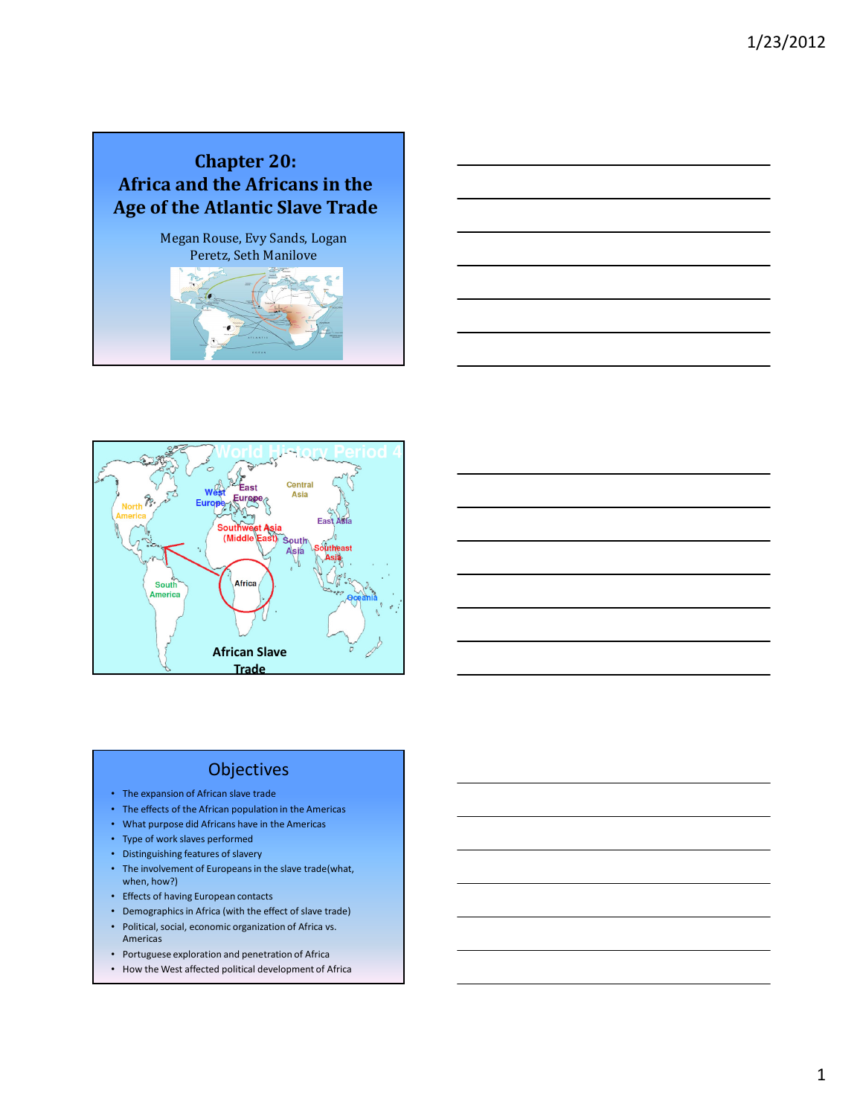





### **Objectives**

- The expansion of African slave trade
- The effects of the African population in the Americas
- What purpose did Africans have in the Americas
- Type of work slaves performed
- Distinguishing features of slavery
- The involvement of Europeans in the slave trade(what, when, how?)
- Effects of having European contacts
- Demographics in Africa (with the effect of slave trade)
- Political, social, economic organization of Africa vs. Americas
- Portuguese exploration and penetration of Africa
- How the West affected political development of Africa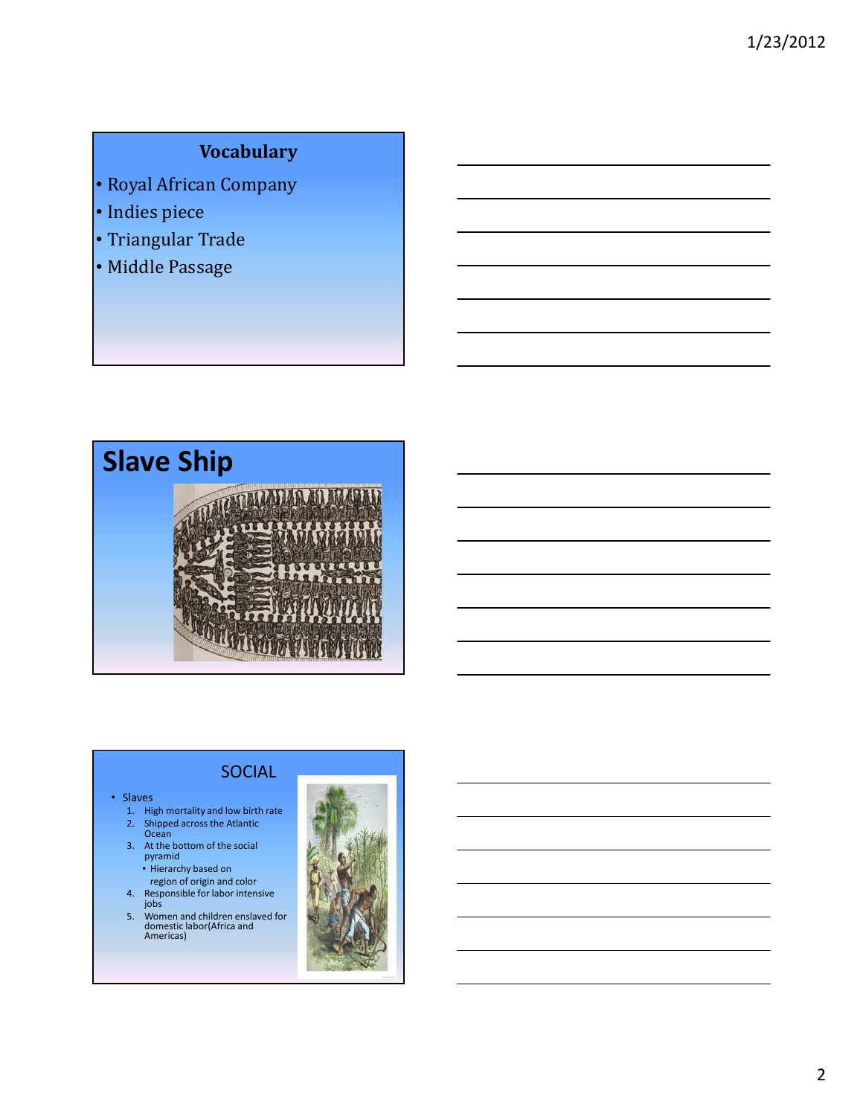# Vocabulary

- Royal African Company
- Indies piece
- Triangular Trade
- Middle Passage



## SOCIAL

#### • Slaves

- 1. High mortality and low birth rate
- 2. Shipped across the Atlantic Ocean
- 3. At the bottom of the social pyramid Hierarchy based on
	-
	- region of origin and color
- 4. Responsible for labor intensive jobs
- 5. Women and children enslaved for domestic labor(Africa and Americas)

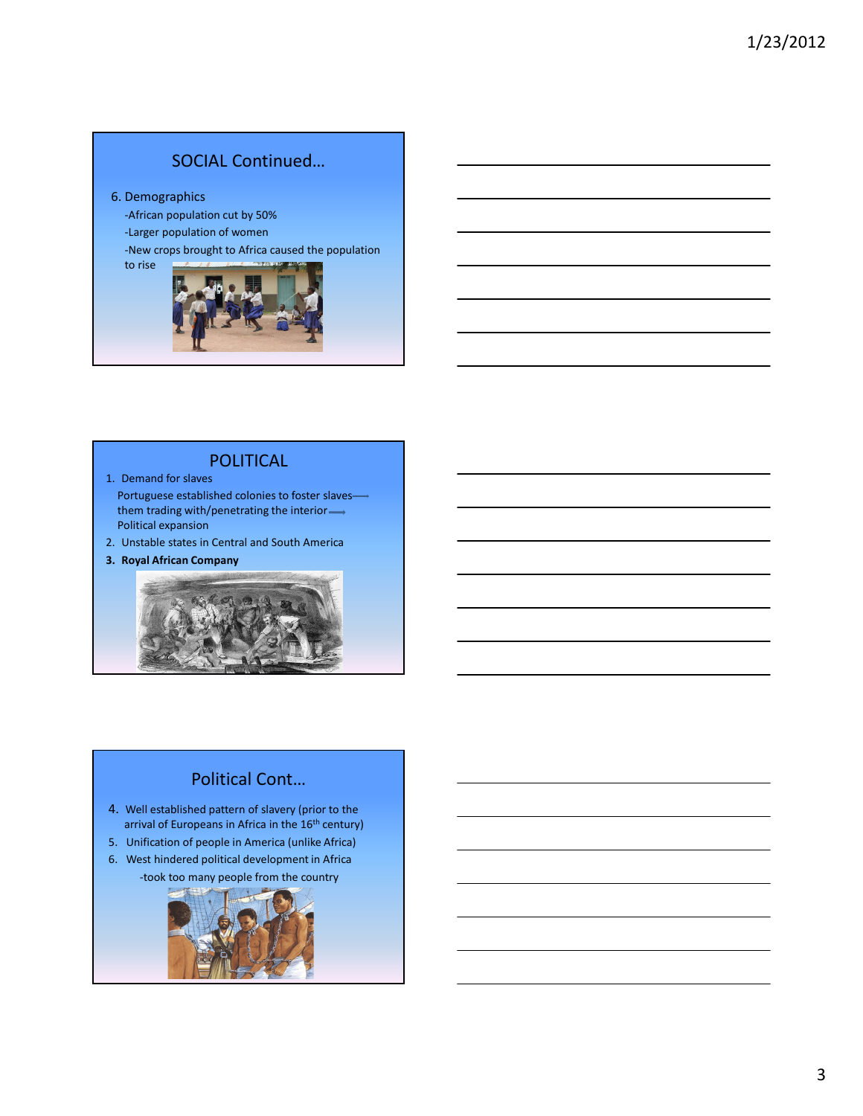## SOCIAL Continued…

#### 6. Demographics

-African population cut by 50%

-Larger population of women

-New crops brought to Africa caused the population to rise



#### POLITICAL

1. Demand for slaves

Portuguese established colonies to foster slaves them trading with/penetrating the interior Political expansion

2. Unstable states in Central and South America

3. Royal African Company



### Political Cont…

- 4. Well established pattern of slavery (prior to the arrival of Europeans in Africa in the 16<sup>th</sup> century)
- 5. Unification of people in America (unlike Africa)
- 6. West hindered political development in Africa -took too many people from the country

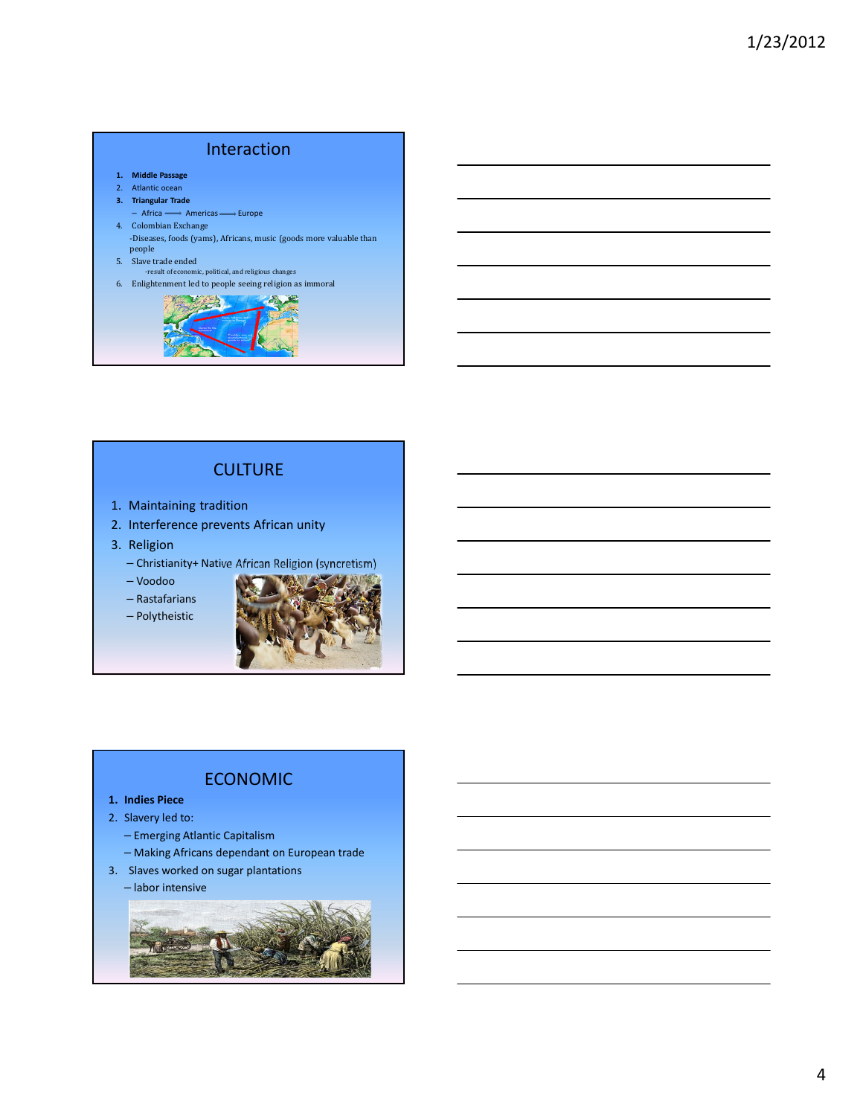## Interaction

- 1. Middle Passage
- 2. Atlantic ocean
- 3. Triangular Trade
- Africa → Americas Burope 4. Colombian Exchange
- -Diseases, foods (yams), Africans, music (goods more valuable than people
- 5. Slave trade ended
- -result of economic, political, and religious changes
- 6. Enlightenment led to people seeing religion as immoral



### **CULTURE**

- 1. Maintaining tradition
- 2. Interference prevents African unity
- 3. Religion
	- Christianity+ Native African Religion (syncretism)
	- Voodoo
	- Rastafarians
	- Polytheistic



### ECONOMIC

- 1. Indies Piece
- 2. Slavery led to:
	- Emerging Atlantic Capitalism
	- Making Africans dependant on European trade
- 3. Slaves worked on sugar plantations

#### – labor intensive